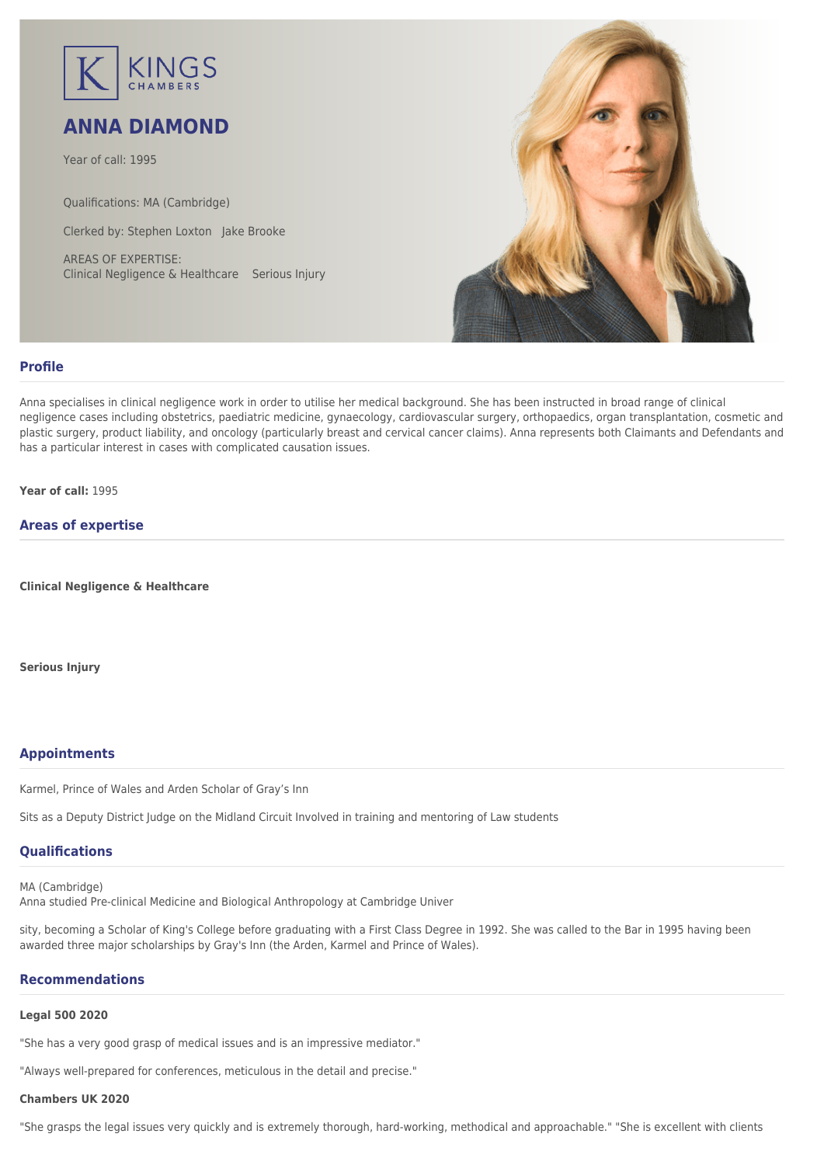

# **ANNA DIAMOND**

Year of call: 1995

Qualifications: MA (Cambridge)

Clerked by: [Stephen Loxton](mailto:sloxton@kingschambers.com) [Jake Brooke](mailto:jbrooke@kingschambers.com)

AREAS OF EXPERTISE: Clinical Negligence & Healthcare Serious Injury



# **Profile**

Anna specialises in clinical negligence work in order to utilise her medical background. She has been instructed in broad range of clinical negligence cases including obstetrics, paediatric medicine, gynaecology, cardiovascular surgery, orthopaedics, organ transplantation, cosmetic and plastic surgery, product liability, and oncology (particularly breast and cervical cancer claims). Anna represents both Claimants and Defendants and has a particular interest in cases with complicated causation issues.

**Year of call:** 1995

# **Areas of expertise**

**[Clinical Negligence & Healthcare](#page--1-0)**

**[Serious Injury](#page--1-0)**

# **Appointments**

Karmel, Prince of Wales and Arden Scholar of Gray's Inn

Sits as a Deputy District Judge on the Midland Circuit Involved in training and mentoring of Law students

# **Qualifications**

MA (Cambridge) Anna studied Pre-clinical Medicine and Biological Anthropology at Cambridge Univer

sity, becoming a Scholar of King's College before graduating with a First Class Degree in 1992. She was called to the Bar in 1995 having been awarded three major scholarships by Gray's Inn (the Arden, Karmel and Prince of Wales).

# **Recommendations**

#### **Legal 500 2020**

"She has a very good grasp of medical issues and is an impressive mediator."

"Always well-prepared for conferences, meticulous in the detail and precise."

#### **Chambers UK 2020**

"She grasps the legal issues very quickly and is extremely thorough, hard-working, methodical and approachable." "She is excellent with clients